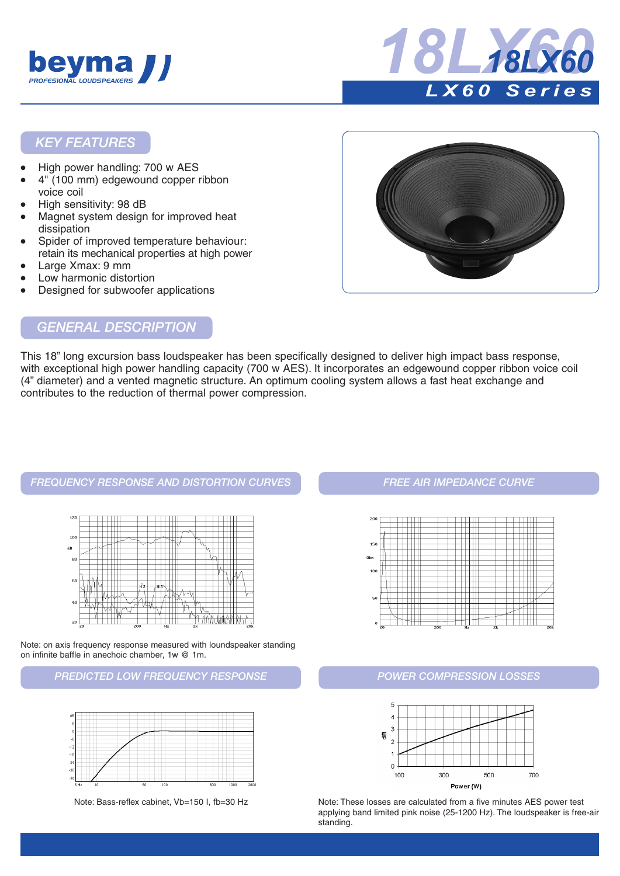



### *KEY FEATURES*

- High power handling: 700 w AES
- 4" (100 mm) edgewound copper ribbon voice coil
- High sensitivity: 98 dB
- Magnet system design for improved heat dissipation
- Spider of improved temperature behaviour: retain its mechanical properties at high power
- Large Xmax: 9 mm
- Low harmonic distortion
- Designed for subwoofer applications



# *GENERAL DESCRIPTION*

This 18" long excursion bass loudspeaker has been specifically designed to deliver high impact bass response, with exceptional high power handling capacity (700 w AES). It incorporates an edgewound copper ribbon voice coil (4" diameter) and a vented magnetic structure. An optimum cooling system allows a fast heat exchange and contributes to the reduction of thermal power compression.

#### *FREQUENCY RESPONSE AND DISTORTION CURVES FREE AIR IMPEDANCE CURVE*



Note: on axis frequency response measured with loundspeaker standing on infinite baffle in anechoic chamber, 1w @ 1m.

#### *PREDICTED LOW FREQUENCY RESPONSE POWER COMPRESSION LOSSES*







Note: Bass-reflex cabinet, Vb=150 I, fb=30 Hz Note: These losses are calculated from a five minutes AES power test applying band limited pink noise (25-1200 Hz). The loudspeaker is free-air standing.